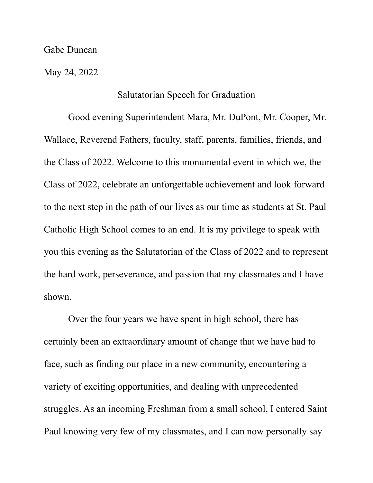Gabe Duncan

May 24, 2022

## Salutatorian Speech for Graduation

Good evening Superintendent Mara, Mr. DuPont, Mr. Cooper, Mr. Wallace, Reverend Fathers, faculty, staff, parents, families, friends, and the Class of 2022. Welcome to this monumental event in which we, the Class of 2022, celebrate an unforgettable achievement and look forward to the next step in the path of our lives as our time as students at St. Paul Catholic High School comes to an end. It is my privilege to speak with you this evening as the Salutatorian of the Class of 2022 and to represent the hard work, perseverance, and passion that my classmates and I have shown.

Over the four years we have spent in high school, there has certainly been an extraordinary amount of change that we have had to face, such as finding our place in a new community, encountering a variety of exciting opportunities, and dealing with unprecedented struggles. As an incoming Freshman from a small school, I entered Saint Paul knowing very few of my classmates, and I can now personally say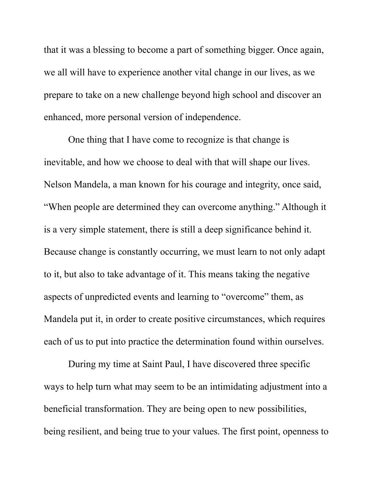that it was a blessing to become a part of something bigger. Once again, we all will have to experience another vital change in our lives, as we prepare to take on a new challenge beyond high school and discover an enhanced, more personal version of independence.

One thing that I have come to recognize is that change is inevitable, and how we choose to deal with that will shape our lives. Nelson Mandela, a man known for his courage and integrity, once said, "When people are determined they can overcome anything." Although it is a very simple statement, there is still a deep significance behind it. Because change is constantly occurring, we must learn to not only adapt to it, but also to take advantage of it. This means taking the negative aspects of unpredicted events and learning to "overcome" them, as Mandela put it, in order to create positive circumstances, which requires each of us to put into practice the determination found within ourselves.

During my time at Saint Paul, I have discovered three specific ways to help turn what may seem to be an intimidating adjustment into a beneficial transformation. They are being open to new possibilities, being resilient, and being true to your values. The first point, openness to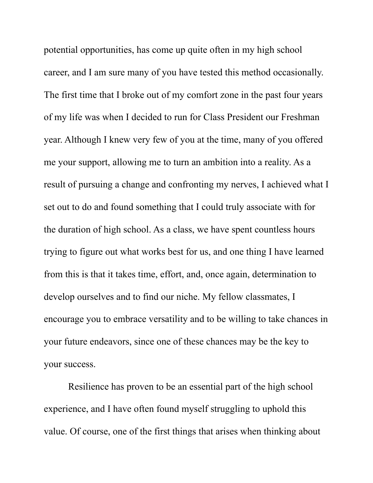potential opportunities, has come up quite often in my high school career, and I am sure many of you have tested this method occasionally. The first time that I broke out of my comfort zone in the past four years of my life was when I decided to run for Class President our Freshman year. Although I knew very few of you at the time, many of you offered me your support, allowing me to turn an ambition into a reality. As a result of pursuing a change and confronting my nerves, I achieved what I set out to do and found something that I could truly associate with for the duration of high school. As a class, we have spent countless hours trying to figure out what works best for us, and one thing I have learned from this is that it takes time, effort, and, once again, determination to develop ourselves and to find our niche. My fellow classmates, I encourage you to embrace versatility and to be willing to take chances in your future endeavors, since one of these chances may be the key to your success.

Resilience has proven to be an essential part of the high school experience, and I have often found myself struggling to uphold this value. Of course, one of the first things that arises when thinking about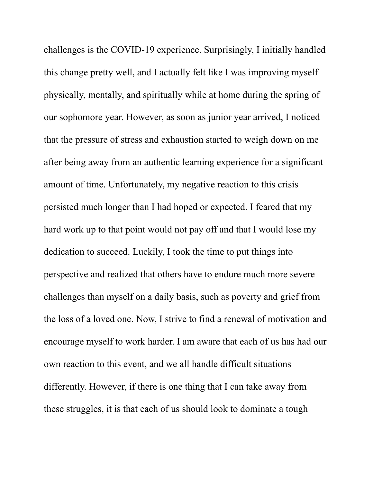challenges is the COVID-19 experience. Surprisingly, I initially handled this change pretty well, and I actually felt like I was improving myself physically, mentally, and spiritually while at home during the spring of our sophomore year. However, as soon as junior year arrived, I noticed that the pressure of stress and exhaustion started to weigh down on me after being away from an authentic learning experience for a significant amount of time. Unfortunately, my negative reaction to this crisis persisted much longer than I had hoped or expected. I feared that my hard work up to that point would not pay off and that I would lose my dedication to succeed. Luckily, I took the time to put things into perspective and realized that others have to endure much more severe challenges than myself on a daily basis, such as poverty and grief from the loss of a loved one. Now, I strive to find a renewal of motivation and encourage myself to work harder. I am aware that each of us has had our own reaction to this event, and we all handle difficult situations differently. However, if there is one thing that I can take away from these struggles, it is that each of us should look to dominate a tough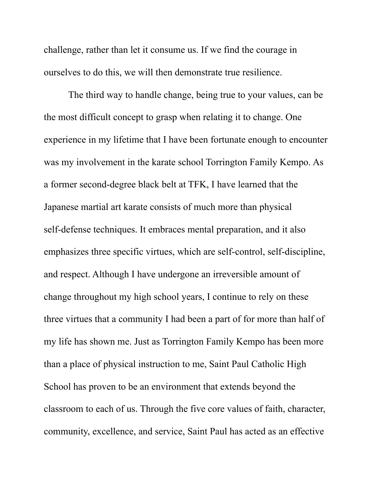challenge, rather than let it consume us. If we find the courage in ourselves to do this, we will then demonstrate true resilience.

The third way to handle change, being true to your values, can be the most difficult concept to grasp when relating it to change. One experience in my lifetime that I have been fortunate enough to encounter was my involvement in the karate school Torrington Family Kempo. As a former second-degree black belt at TFK, I have learned that the Japanese martial art karate consists of much more than physical self-defense techniques. It embraces mental preparation, and it also emphasizes three specific virtues, which are self-control, self-discipline, and respect. Although I have undergone an irreversible amount of change throughout my high school years, I continue to rely on these three virtues that a community I had been a part of for more than half of my life has shown me. Just as Torrington Family Kempo has been more than a place of physical instruction to me, Saint Paul Catholic High School has proven to be an environment that extends beyond the classroom to each of us. Through the five core values of faith, character, community, excellence, and service, Saint Paul has acted as an effective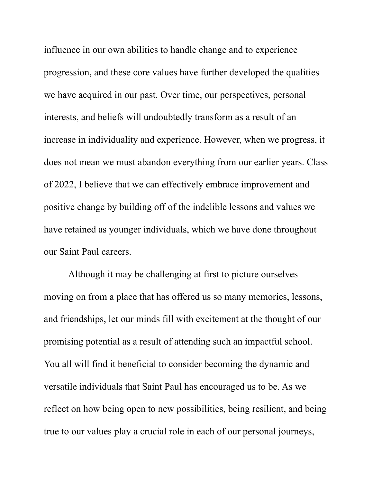influence in our own abilities to handle change and to experience progression, and these core values have further developed the qualities we have acquired in our past. Over time, our perspectives, personal interests, and beliefs will undoubtedly transform as a result of an increase in individuality and experience. However, when we progress, it does not mean we must abandon everything from our earlier years. Class of 2022, I believe that we can effectively embrace improvement and positive change by building off of the indelible lessons and values we have retained as younger individuals, which we have done throughout our Saint Paul careers.

Although it may be challenging at first to picture ourselves moving on from a place that has offered us so many memories, lessons, and friendships, let our minds fill with excitement at the thought of our promising potential as a result of attending such an impactful school. You all will find it beneficial to consider becoming the dynamic and versatile individuals that Saint Paul has encouraged us to be. As we reflect on how being open to new possibilities, being resilient, and being true to our values play a crucial role in each of our personal journeys,